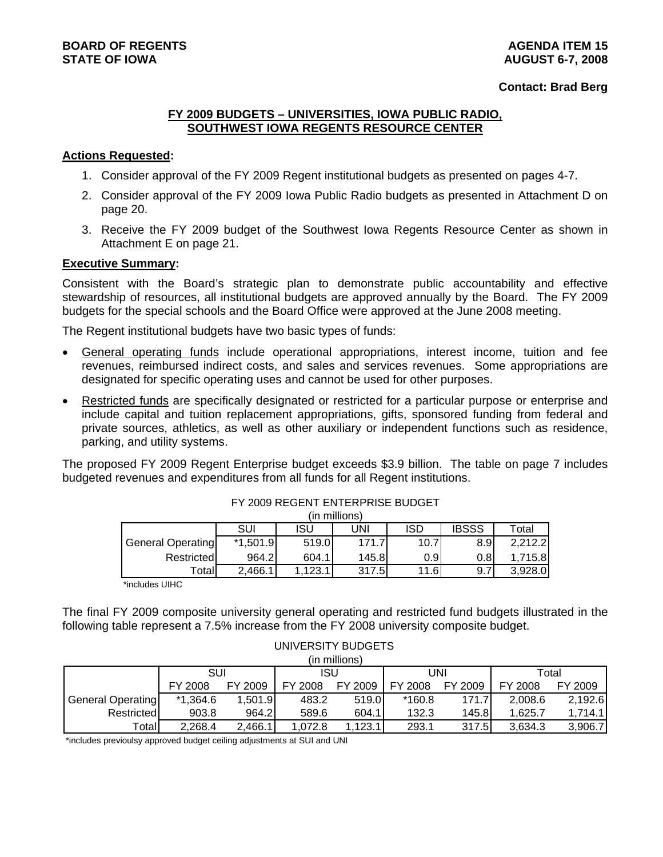#### **Contact: Brad Berg**

#### **FY 2009 BUDGETS – UNIVERSITIES, IOWA PUBLIC RADIO, SOUTHWEST IOWA REGENTS RESOURCE CENTER**

#### **Actions Requested:**

- 1. Consider approval of the FY 2009 Regent institutional budgets as presented on pages 4-7.
- 2. Consider approval of the FY 2009 Iowa Public Radio budgets as presented in Attachment D on page 20.
- 3. Receive the FY 2009 budget of the Southwest Iowa Regents Resource Center as shown in Attachment E on page 21.

#### **Executive Summary:**

Consistent with the Board's strategic plan to demonstrate public accountability and effective stewardship of resources, all institutional budgets are approved annually by the Board. The FY 2009 budgets for the special schools and the Board Office were approved at the June 2008 meeting.

The Regent institutional budgets have two basic types of funds:

- General operating funds include operational appropriations, interest income, tuition and fee revenues, reimbursed indirect costs, and sales and services revenues. Some appropriations are designated for specific operating uses and cannot be used for other purposes.
- Restricted funds are specifically designated or restricted for a particular purpose or enterprise and include capital and tuition replacement appropriations, gifts, sponsored funding from federal and private sources, athletics, as well as other auxiliary or independent functions such as residence, parking, and utility systems.

The proposed FY 2009 Regent Enterprise budget exceeds \$3.9 billion. The table on page 7 includes budgeted revenues and expenditures from all funds for all Regent institutions.

|                          |            |        | (III IIIIIIIUIIS) |      |              |         |
|--------------------------|------------|--------|-------------------|------|--------------|---------|
|                          | SUI        | ISU    | UNI               | ISD  | <b>IBSSS</b> | Total   |
| <b>General Operating</b> | $*1,501.9$ | 519.0  | 171.7             | 10.7 | 8.9          | 2.212.2 |
| Restricted               | 964.2l     | 604.1  | 145.8             | 0.91 | 0.81         | 1.715.8 |
| Totall                   | 2,466.1    | .123.1 | 317.5             | 11.6 | 9.7          | 3.928.0 |

#### FY 2009 REGENT ENTERPRISE BUDGET (in millions)

\*includes UIHC

The final FY 2009 composite university general operating and restricted fund budgets illustrated in the following table represent a 7.5% increase from the FY 2008 university composite budget.

#### UNIVERSITY BUDGETS (in millions)

|                          |            |         |         | (III IIIIIIIIIIIIIIIIIIII |          |         |         |         |
|--------------------------|------------|---------|---------|---------------------------|----------|---------|---------|---------|
|                          | SUI        |         | ISU     |                           |          | JNI     | Total   |         |
|                          | FY 2008    | FY 2009 | FY 2008 | FY 2009                   | FY 2008  | FY 2009 | FY 2008 | FY 2009 |
| <b>General Operating</b> | $*1,364.6$ | ,501.9  | 483.2   | 519.0                     | $*160.8$ | 171.7   | 2.008.6 | 2,192.6 |
| Restricted               | 903.8      | 964.2I  | 589.6   | 604.1                     | 132.3    | 145.8l  | 1.625.7 | 1.714.1 |
| Totall                   | 2.268.4    | 2,466.1 | .072.8  | 123.1                     | 293.1    | 317.5   | 3.634.3 | 3,906.7 |

\*includes previoulsy approved budget ceiling adjustments at SUI and UNI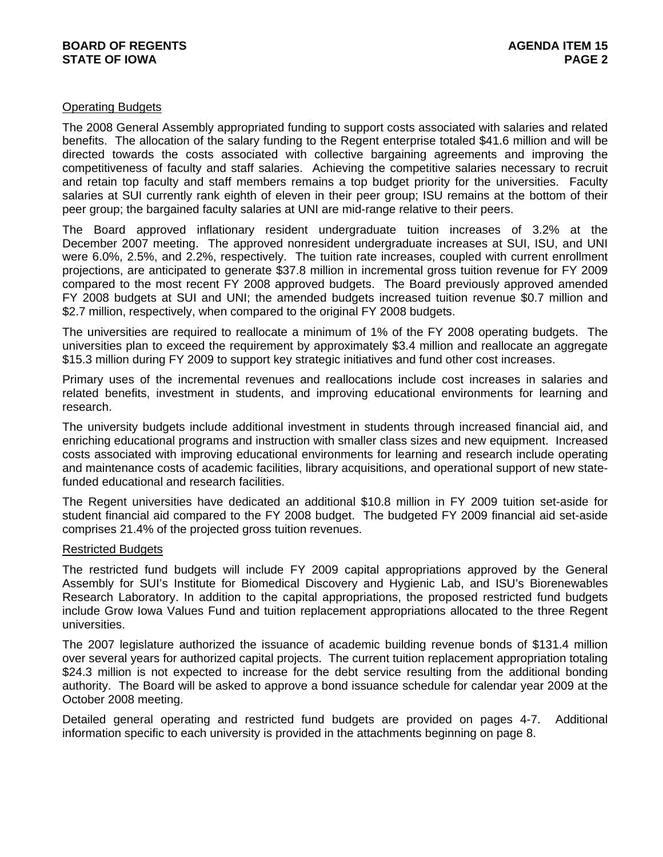#### Operating Budgets

The 2008 General Assembly appropriated funding to support costs associated with salaries and related benefits. The allocation of the salary funding to the Regent enterprise totaled \$41.6 million and will be directed towards the costs associated with collective bargaining agreements and improving the competitiveness of faculty and staff salaries. Achieving the competitive salaries necessary to recruit and retain top faculty and staff members remains a top budget priority for the universities. Faculty salaries at SUI currently rank eighth of eleven in their peer group; ISU remains at the bottom of their peer group; the bargained faculty salaries at UNI are mid-range relative to their peers.

The Board approved inflationary resident undergraduate tuition increases of 3.2% at the December 2007 meeting. The approved nonresident undergraduate increases at SUI, ISU, and UNI were 6.0%, 2.5%, and 2.2%, respectively. The tuition rate increases, coupled with current enrollment projections, are anticipated to generate \$37.8 million in incremental gross tuition revenue for FY 2009 compared to the most recent FY 2008 approved budgets. The Board previously approved amended FY 2008 budgets at SUI and UNI; the amended budgets increased tuition revenue \$0.7 million and \$2.7 million, respectively, when compared to the original FY 2008 budgets.

The universities are required to reallocate a minimum of 1% of the FY 2008 operating budgets. The universities plan to exceed the requirement by approximately \$3.4 million and reallocate an aggregate \$15.3 million during FY 2009 to support key strategic initiatives and fund other cost increases.

Primary uses of the incremental revenues and reallocations include cost increases in salaries and related benefits, investment in students, and improving educational environments for learning and research.

The university budgets include additional investment in students through increased financial aid, and enriching educational programs and instruction with smaller class sizes and new equipment. Increased costs associated with improving educational environments for learning and research include operating and maintenance costs of academic facilities, library acquisitions, and operational support of new statefunded educational and research facilities.

The Regent universities have dedicated an additional \$10.8 million in FY 2009 tuition set-aside for student financial aid compared to the FY 2008 budget. The budgeted FY 2009 financial aid set-aside comprises 21.4% of the projected gross tuition revenues.

#### Restricted Budgets

The restricted fund budgets will include FY 2009 capital appropriations approved by the General Assembly for SUI's Institute for Biomedical Discovery and Hygienic Lab, and ISU's Biorenewables Research Laboratory. In addition to the capital appropriations, the proposed restricted fund budgets include Grow Iowa Values Fund and tuition replacement appropriations allocated to the three Regent universities.

The 2007 legislature authorized the issuance of academic building revenue bonds of \$131.4 million over several years for authorized capital projects. The current tuition replacement appropriation totaling \$24.3 million is not expected to increase for the debt service resulting from the additional bonding authority. The Board will be asked to approve a bond issuance schedule for calendar year 2009 at the October 2008 meeting.

Detailed general operating and restricted fund budgets are provided on pages 4-7. Additional information specific to each university is provided in the attachments beginning on page 8.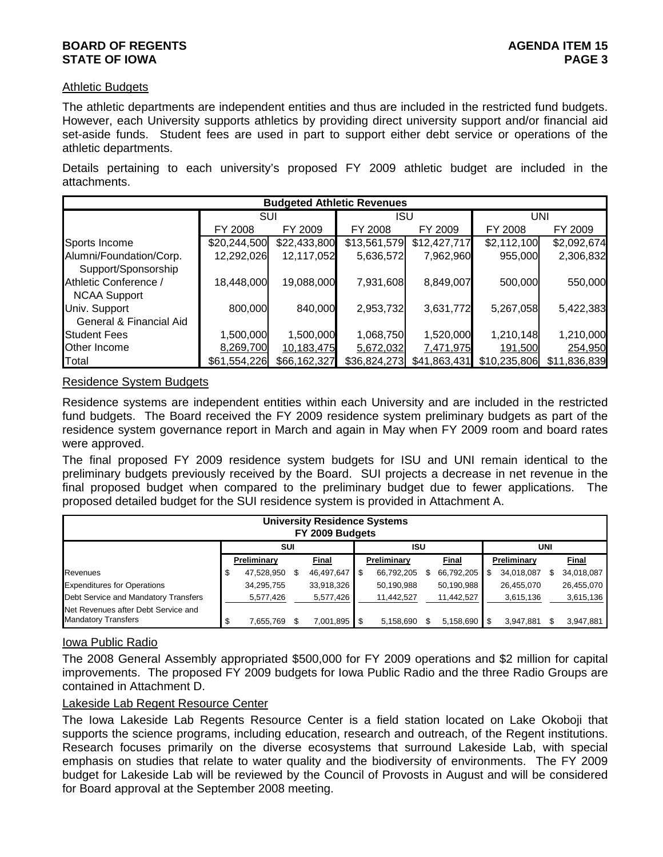#### **BOARD OF REGENTS** AGENUS AGENDA ITEM 15 **STATE OF IOWA** PAGE 3

#### Athletic Budgets

The athletic departments are independent entities and thus are included in the restricted fund budgets. However, each University supports athletics by providing direct university support and/or financial aid set-aside funds. Student fees are used in part to support either debt service or operations of the athletic departments.

Details pertaining to each university's proposed FY 2009 athletic budget are included in the attachments.

|                                                |              |              | <b>Budgeted Athletic Revenues</b> |              |              |              |
|------------------------------------------------|--------------|--------------|-----------------------------------|--------------|--------------|--------------|
|                                                | <b>SUI</b>   |              | <b>ISU</b>                        |              |              | UNI          |
|                                                | FY 2008      | FY 2009      | FY 2008                           | FY 2009      | FY 2008      | FY 2009      |
| Sports Income                                  | \$20,244,500 | \$22,433,800 | \$13,561,579                      | \$12,427,717 | \$2,112,100  | \$2,092,674  |
| Alumni/Foundation/Corp.<br>Support/Sponsorship | 12,292,026   | 12,117,052   | 5,636,572                         | 7,962,960    | 955,000      | 2,306,832    |
| Athletic Conference /<br><b>NCAA Support</b>   | 18,448,000   | 19,088,000   | 7,931,608                         | 8,849,007    | 500,000      | 550,000      |
| Univ. Support<br>General & Financial Aid       | 800,000      | 840,000      | 2,953,732                         | 3,631,772    | 5,267,058    | 5,422,383    |
| <b>Student Fees</b>                            | 1,500,000    | 1,500,000    | 1,068,750                         | 1,520,000    | 1,210,148    | 1,210,000    |
| Other Income                                   | 8,269,700    | 10,183,475   | 5,672,032                         | 7,471,975    | 191,500      | 254,950      |
| Total                                          | \$61,554,226 | \$66,162,327 | \$36,824,273                      | \$41,863,431 | \$10,235,806 | \$11,836,839 |

#### Residence System Budgets

Residence systems are independent entities within each University and are included in the restricted fund budgets. The Board received the FY 2009 residence system preliminary budgets as part of the residence system governance report in March and again in May when FY 2009 room and board rates were approved.

The final proposed FY 2009 residence system budgets for ISU and UNI remain identical to the preliminary budgets previously received by the Board. SUI projects a decrease in net revenue in the final proposed budget when compared to the preliminary budget due to fewer applications. The proposed detailed budget for the SUI residence system is provided in Attachment A.

|                                                                   |   |             | <b>University Residence Systems</b><br>FY 2009 Budgets |             |   |            |                 |     |            |
|-------------------------------------------------------------------|---|-------------|--------------------------------------------------------|-------------|---|------------|-----------------|-----|------------|
|                                                                   |   | <b>SUI</b>  |                                                        | <b>ISU</b>  |   |            |                 | UNI |            |
|                                                                   |   | Preliminary | Final                                                  | Preliminary |   | Final      | Preliminary     |     | Final      |
| Revenues                                                          | Φ | 47,528,950  | 46,497,647                                             | 66,792,205  | Ж | 66,792,205 | 34,018,087      |     | 34,018,087 |
| <b>Expenditures for Operations</b>                                |   | 34,295,755  | 33,918,326                                             | 50,190,988  |   | 50,190,988 | 26,455,070      |     | 26,455,070 |
| Debt Service and Mandatory Transfers                              |   | 5,577,426   | 5,577,426                                              | 11,442,527  |   | 11,442,527 | 3,615,136       |     | 3,615,136  |
| Net Revenues after Debt Service and<br><b>Mandatory Transfers</b> |   | 7,655,769   | 7,001,895 \$                                           | 5,158,690   |   | 5,158,690  | \$<br>3,947,881 |     | 3,947,881  |

### Iowa Public Radio

The 2008 General Assembly appropriated \$500,000 for FY 2009 operations and \$2 million for capital improvements. The proposed FY 2009 budgets for Iowa Public Radio and the three Radio Groups are contained in Attachment D.

### Lakeside Lab Regent Resource Center

The Iowa Lakeside Lab Regents Resource Center is a field station located on Lake Okoboji that supports the science programs, including education, research and outreach, of the Regent institutions. Research focuses primarily on the diverse ecosystems that surround Lakeside Lab, with special emphasis on studies that relate to water quality and the biodiversity of environments. The FY 2009 budget for Lakeside Lab will be reviewed by the Council of Provosts in August and will be considered for Board approval at the September 2008 meeting.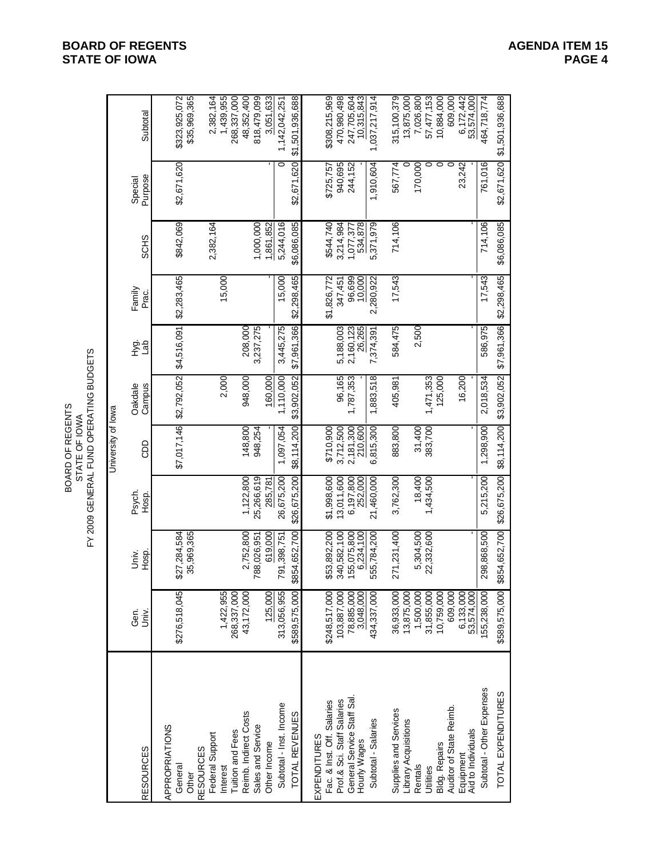University of Iowa Gen. Univ. Psych. Oakdale Hyg. Family Special RESOURCES Univ. Hosp. Hosp. CDD Campus Lab Prac. SCHS Purpose Subtotal APPROPRIATIONS General \$276,518,045 \$27,284,584 \$7,017,146 \$2,792,052 \$4,516,091 \$2,283,465 \$842,069 \$2,671,620 \$323,925,072 Other 35,969,365 \$35,969,365 RESOURCES Federal Support 2,382,164 2,382,164 Interest 1,422,955 2,000 15,000 1,439,955 Tuition and Fees 268,337,000 268,337,000 Reimb. Indirect Costs 43,172,000 2,752,800 1,122,800 148,800 948,000 208,000 48,352,400 Sales and Service 788,026,951 25,266,619 948,254 3,237,275 1,000,000 818,479,099 Other Income 125,000 619,000 285,781 - 160,000 - - 1,861,852 - 3,051,633 Subtotal - Inst. Income 313,056,955 791,398,751 26,675,200 1,097,054 1,110,000 3,445,275 15,000 5,244,016 0 1,142,042,251 TOTAL REVENUES \$589,575,000 \$854,652,700 \$26,675,200 \$8,114,200 \$3,902,052 \$7,961,366 \$2,298,465 \$6,086,085 \$2,671,620 \$1,501,936,688 EXPENDITURES Fac. & Inst. Off. Salaries \$248,517,000 \$53,892,200 \$1,998,600 \$710,900 \$1,826,772 \$544,740 \$725,757 \$308,215,969 Prof.& Sci. Staff Salaries 103,887,000 340,582,100 13,011,600 3,712,500 96,165 5,188,003 347,451 3,214,984 940,695 470,980,498 General Service Staff Sal. 78,885,000 155,075,800 6,197,800 2,181,300 1,787,353 2,160,123 96,699 1,077,377 244,152 247,705,604 Hourly Wages 3,048,000 6,234,100 252,000 210,600 - 26,265 10,000 534,878 - 10,315,843 Subtotal - Salaries 434,337,000 555,784,200 21,460,000 6,815,300 1,883,518 7,374,391 2,280,922 5,371,979 1,910,604 1,037,217,914 Supplies and Services 36,933,000 271,231,400 3,762,300 883,800 405,981 584,475 17,543 714,106 567,774 315,100,379 Library Acquisitions 13,875,000 0 13,875,000 Rentals 1,500,000 5,304,500 18,400 31,400 2,500 170,000 7,026,800 Utilities 31,855,000 22,332,600 1,434,500 383,700 1,471,353 0 57,477,153 Bldg. Repairs 10,759,000 125,000 0 10,884,000 Auditor of State Reimb. 609,000 0 609,000 Equipment 6,133,000 16,200 23,242 6,172,442 Aid to Individuals 53,574,000 - - - - - - - - 53,574,000 Subtotal - Other Expenses 155,238,000 298,868,500 5,215,200 1,298,900 2,018,534 586,975 17,543 714,106 761,016 464,718,774 TOTAL EXPENDITURES \$589,575,000 \$854,652,700 \$26,675,200 \$8,114,200 \$3,902,052 \$7,961,366 \$2,298,465 \$6,086,085 \$2,671,620 \$1,501,936,688 BOARD OF REGENTS STATE OF IOWA FY 2009 GENERAL FUND OPERATING BUDGETS

#### **BOARD OF REGENTS AGENER AGENERAL LIGHT AGENERAL LIGHT AGENERAL LIGHT AGENERAL LIGHT AGENERAL 15 STATE OF IOWA PAGE 4**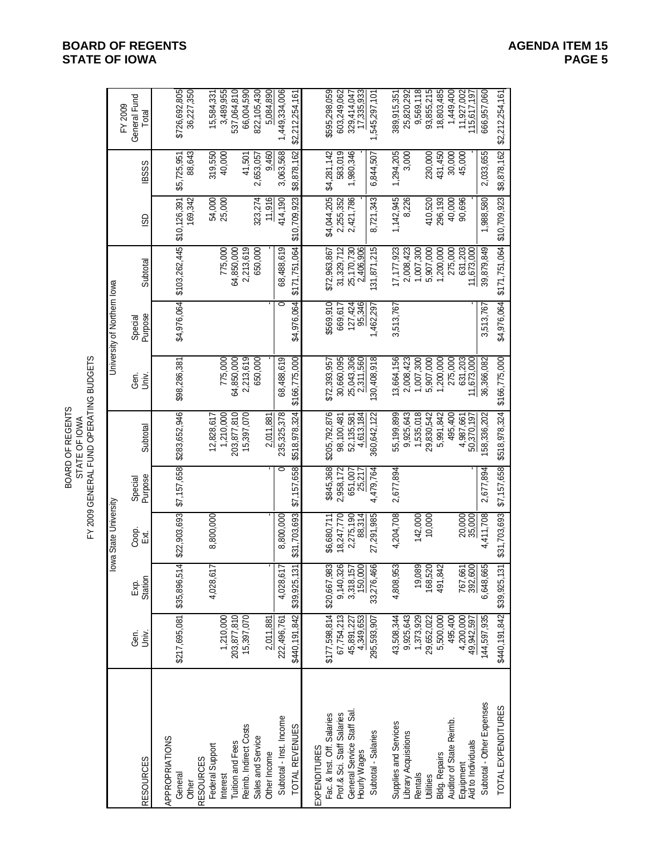Gen. Exp. Coop. Special Gen. Special Gen. Special Special General Fund<br>Gen. Exp. Coop. Special RESOURCES Univ. Station Ext. Purpose Subtotal Univ. Purpose Subtotal ISD IBSSS Total APPROPRIATIONS General \$217,695,081 \$35,896,514 \$22,903,693 \$7,157,658 \$283,652,946 \$98,286,381 \$4,976,064 \$103,262,445 \$10,126,391 \$5,725,951 \$726,692,805 Other 169,342 88,643 36,227,350 RESOURCES Federal Support 4,028,617 8,800,000 12,828,617 54,000 319,550 15,584,331 Interest 1,210,000 1,210,000 775,000 775,000 25,000 40,000 3,489,955 Tuition and Fees 203,877,810 203,877,810 64,850,000 64,850,000 537,064,810 Reimb. Indirect Costs 15,397,070 15,397,070 2,213,619 2,213,619 41,501 66,004,590 Sales and Service 650,000 650,000 323,274 2,653,057 822,105,430 Other Income 2,011,881 - - - 2,011,881 - - - 11,916 9,460 5,084,890 Subtotal - Inst. Income 222,496,761 4,028,617 8,800,000 0 235,325,378 68,488,619 0 68,488,619 414,190 3,063,568 1,449,334,006 TOTAL REVENUES \$440,191,842 \$39,925,131 \$31,703,693 \$7,157,658 \$518,978,324 \$166,775,000 \$4,976,064 \$171,751,064 \$10,709,923 \$8,878,162 \$2,212,254,161 EXPENDITURES Fac. & Inst. Off. Salaries \$177,598,814 \$20,667,983 \$6,680,711 \$845,368 \$205,792,876 \$72,393,957 \$569,910 \$72,963,867 \$4,044,205 \$4,281,142 \$595,298,059 Prof.& Sci. Staff Salaries 67,754,213 9,140,326 18,247,770 2,958,172 98,100,481 30,660,095 669,617 31,329,712 2,255,352 583,019 603,249,062 General Service Staff Sal. 45,891,227 3,318,157 2,275,190 651,007 52,135,581 25,043,306 127,424 25,170,730 2,421,786 1,980,346 329,414,047 Hourly Wages 4,349,653 150,000 88,314 25,217 4,613,184 2,311,560 95,346 2,406,906 - - 17,335,933 Subtotal - Salaries 295,593,907 33,276,466 27,291,985 4,479,764 360,642,122 130,408,918 1,462,297 131,871,215 8,721,343 6,844,507 1,545,297,101 Supplies and Services 43,508,344 4,808,953 4,204,708 2,677,894 55,199,899 13,664,156 3,513,767 17,177,923 1,142,945 1,294,205 389,915,351 Library Acquisitions 9,925,643 9,925,643 2,008,423 2,008,423 8,226 3,000 25,820,292 Rentals 1,373,929 19,089 142,000 1,535,018 1,007,300 1,007,300 9,569,118 Utilities 29,652,022 168,520 10,000 29,830,542 5,907,000 5,907,000 410,520 230,000 93,855,215 Bldg. Repairs 5,500,000 491,842 5,991,842 1,200,000 1,200,000 296,193 431,450 18,803,485 Auditor of State Reimb. 495,400 495,400 275,000 275,000 40,000 30,000 1,449,400 Equipment 4,200,000 767,661 20,000 4,987,661 631,203 631,203 90,696 45,000 11,927,002 Aid to Individuals 49,942,597 392,600 35,000 - 50,370,197 11,673,000 - 11,673,000 - - 115,617,197 Subtotal - Other Expenses 144,597,935 6,648,665 4,411,708 2,677,894 158,336,202 36,366,082 3,513,767 39,879,849 1,988,580 2,033,655 666,957,060 TOTAL EXPENDITURES \$440,191,842 \$39,925,131 \$31,703,693 \$7,157,658 \$518,978,324 \$166,775,000 \$4,976,064 \$171,751,064 \$10,709,923 \$8,878,162 \$2,212,254,161 BOARD OF REGENTS STATE OF IOWA FY 2009 GENERAL FUND OPERATING BUDGETS Iowa State University University of Northern Iowa

#### **BOARD OF REGENTS AGENDA ITEM 15 STATE OF IOWA**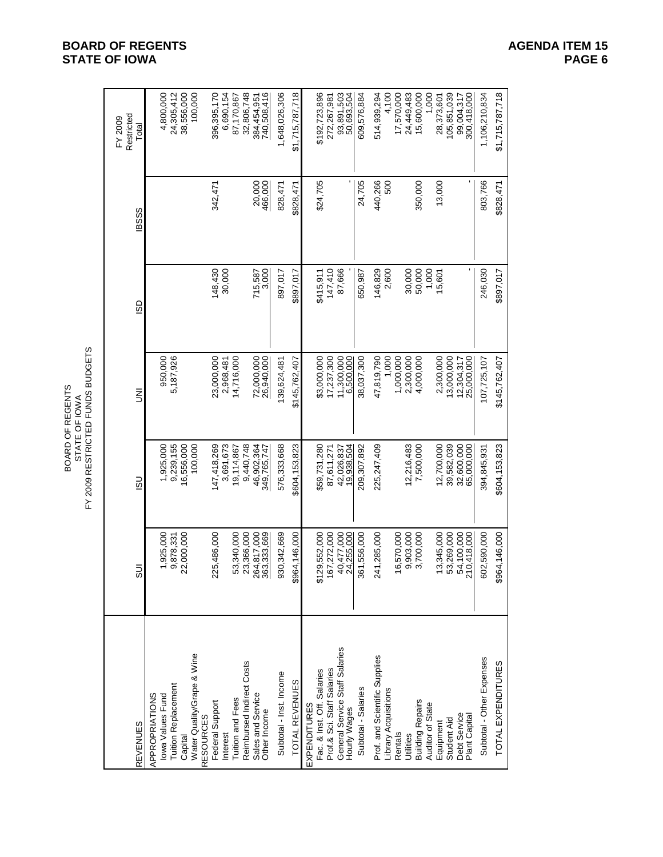|                                                                       | Restricted<br>FY 2009<br>Total | 4,800,000                          | 24,305,412          | 38,556,000 | 100,000                                        | 396,395,170     | 6,690,154 | 87,170,867<br>32,806,748                      | 384,454,951       | 740,508,416                | 1,648,026,306           | \$1,715,787,718 |              | \$192,723,896              | 272,267,981                | 93,891,503<br>50,693,504                       | 609,576,884         | 514,939,294                   | 4,100<br>17,570,000<br>500      | 24,449,483 | 15,600,000              | 1,000<br>28,373,601 | 105,851,039              | 99,004,317<br>300,418,000     | 1,106,210,834             | \$1,715,787,718    |
|-----------------------------------------------------------------------|--------------------------------|------------------------------------|---------------------|------------|------------------------------------------------|-----------------|-----------|-----------------------------------------------|-------------------|----------------------------|-------------------------|-----------------|--------------|----------------------------|----------------------------|------------------------------------------------|---------------------|-------------------------------|---------------------------------|------------|-------------------------|---------------------|--------------------------|-------------------------------|---------------------------|--------------------|
|                                                                       | <b>IBSSS</b>                   |                                    |                     |            |                                                | 342,471         |           |                                               |                   | 20,000<br>466,000          | 828,47                  | \$828,471       |              | \$24,705                   |                            |                                                | 24,705              | 440,266                       |                                 |            | 350,000                 | 13,000              |                          |                               | 803,766                   | \$828,471          |
|                                                                       | GS                             |                                    |                     |            |                                                | 148,430         | 30,000    |                                               |                   | 715,587<br>3,000           | 897,017                 | \$897,017       |              | \$415,911                  | 147,410                    | 87,666                                         | 650,987             | 146,829                       | 2,600                           | 30,000     | 50,000                  | 1,000<br>15,601     |                          |                               | 246,030                   | \$897,017          |
| FY 2009 RESTRICTED FUNDS BUDGETS<br>BOARD OF REGENTS<br>STATE OF IOWA | ξ                              | 950,000                            | 5,187,926           |            |                                                | 23,000,000      | 2,968,481 | 14,716,000                                    |                   | 72,000,000<br>26,940,000   | 139,624,481             | \$145,762,407   |              | \$3,000,000                | 17,237,300                 | 11,300,000                                     | 38,037,300          | 47,819,790                    | 1,000<br>1,000,000              | 2,300,000  | 4,000,000               | 2,300,000           | 13,000,000               | 12,304,317<br>25,000,000      | 107,725,107               | \$145,762,407      |
|                                                                       | <u>ငွ</u>                      | 1,925,000                          | 9,239,155           | 16,556,000 | 100,000                                        | 147,418,269     | 3,691,673 | 9,440,748<br>19,114,867                       |                   | 46,902,364<br>349,765,747  | 576,333,668             | \$604,153,823   |              | \$59,731,280               | 87,611,271                 | 42,026,837<br>19,938,504                       | 209,307,892         | 225,247,409                   |                                 | 12,216,483 | 7,500,000               | 12,700,000          | 39,582,039               | 32,600,000<br>65,000,000      | 394,845,931               | \$604,153,823      |
|                                                                       | ms                             | 1,925,000                          | 9,878,331           | 22,000,000 |                                                | 225,486,000     |           | 53,340,000<br>23,366,000                      |                   | 264,817,000<br>363,333,669 | 930, 342, 669           | \$964,146,000   |              | \$129,552,000              | 167,272,000                | 40,477,000<br>24,255,000                       | 361,556,000         | 241,285,000                   | 16,570,000                      | 9,903,000  | 3,700,000               | 13,345,000          | 53,269,000               | 54,100,000<br>210,418,000     | 602,590,000               | \$964,146,000      |
|                                                                       | <b>REVENUES</b>                | APPROPRIATIONS<br>lowa Values Fund | Tuition Replacement | Capital    | Water Quality/Grape & Wine<br><b>RESOURCES</b> | Federal Support | Interest  | Reimbursed Indirect Costs<br>Tuition and Fees | Sales and Service | Other Income               | Subtotal - Inst. Income | TOTAL REVENUES  | EXPENDITURES | Fac. & Inst. Off. Salaries | Prof.& Sci. Staff Salaries | General Service Staff Salaries<br>Hourly Wages | Subtotal - Salaries | Prof. and Scientific Supplies | -ibrary Acquisitions<br>Rentals | Utilities  | <b>Building Repairs</b> | Auditor of State    | Student Aid<br>Equipment | Debt Service<br>Plant Capital | Subtotal - Other Expenses | TOTAL EXPENDITURES |

# **BOARD OF REGENTS**<br> **BOARD OF REGENTS**<br> **BOARD OF IOWA**<br>
PAGE 6 **STATE OF IOWA**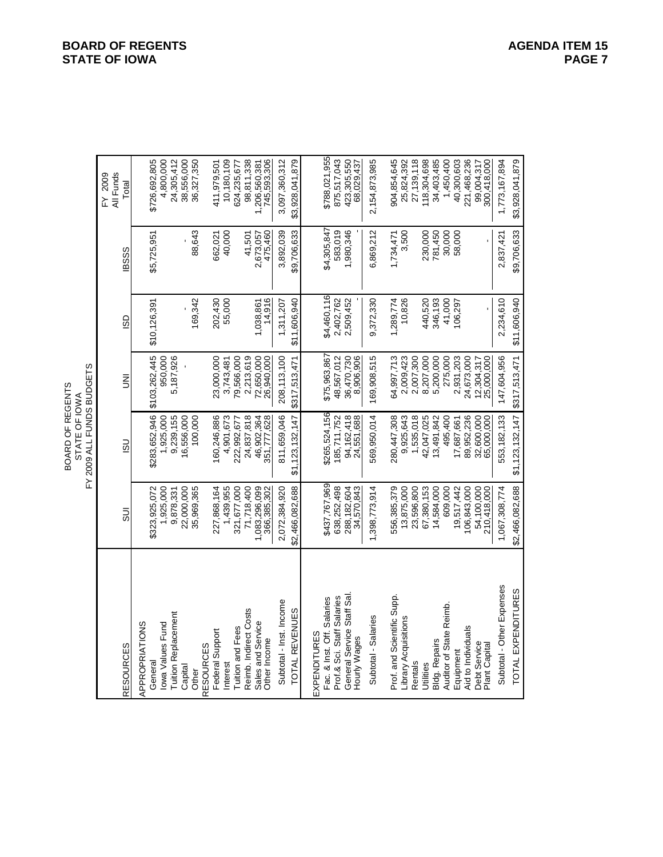| ρù<br>ğ<br>╭<br>こ<br>OF REGEI<br>ᅙ<br>à<br>ğ<br>ő<br><b>STATE</b><br><b>JARD</b><br>ξ<br>×. |
|---------------------------------------------------------------------------------------------|
|---------------------------------------------------------------------------------------------|

|                               |                           | FY 2009 ALL FUNDS BUDGETS<br>BOARD OF REGENTS<br>STATE OF IOWA |                          |                   |             |                               |
|-------------------------------|---------------------------|----------------------------------------------------------------|--------------------------|-------------------|-------------|-------------------------------|
| <b>RESOURCES</b>              | 5UI                       | $\overline{5}$                                                 | $\bar{z}$                | SD                | <b>BSSS</b> | All Funds<br>FY 2009<br>Total |
| APPROPRIATIONS                |                           |                                                                |                          |                   |             |                               |
| General                       | \$323,925,072             | \$283,652,946                                                  | \$103,262,445            | \$10,126,391      | \$5,725,951 | \$726,692,805                 |
| lowa Values Fund              | 1,925,000                 | 1,925,000                                                      | 950,000                  |                   |             | 4,800,000                     |
| <b>Tuition Replacement</b>    | 9,878,331                 | 9,239,155                                                      | 5,187,926                |                   |             | 24,305,412                    |
| Capital                       | 22,000,000                | 16,556,000                                                     |                          |                   |             | 38,556,000                    |
| <b>RESOURCES</b><br>Other     | 35,969,365                | 100,000                                                        |                          | 169,342           | 88,643      | 36,327,350                    |
| Federal Support               | 227,868,164               | 160,246,886                                                    | 23,000,000               |                   | 662,021     | 411,979,501                   |
| nterest                       | 1,439,955                 | 4,901,673                                                      | 3,743,481                | 202,430<br>55,000 | 40,000      | 10,180,109                    |
| <b>Tuition and Fees</b>       | 321,677,000               | 222,992,677                                                    | 79,566,000               |                   |             | 624,235,677                   |
| Reimb. Indirect Costs         | 71,718,400                | 24,837,818                                                     | 2,213,619                |                   | 41,501      | 98,811,338                    |
| Sales and Service             | 1,083,296,099             | 46,902,364                                                     | 72,650,000               | 1,038,861         | 2,673,057   | 1,206,560,381<br>745,593,306  |
| Other Income                  | 366,385,302               | 351,777,628                                                    | 26,940,000               | 14,916            | 475,460     |                               |
| Subtotal - Inst. Income       | 2,072,384,920             | 811,659,046                                                    | 208,113,100              | 1,311,207         | 3,892,039   | 3,097,360,312                 |
| TOTAL REVENUES                | \$2,466,082,688           | \$1,123,132,147                                                | \$317,513,471            | \$11,606,940      | \$9,706,633 | \$3,928,041,879               |
| EXPENDITURES                  |                           |                                                                |                          |                   |             |                               |
| Fac. & Inst. Off. Salaries    | \$437,767,969             | \$265,524,156                                                  | \$75,963,867             | \$4,460,116       | \$4,305,847 | \$788,021,955                 |
| Prof & Sci. Staff Salaries    | 638,252,498               | 185,711,752                                                    | 48,567,012               | 2,402,762         | 583,019     | 875,517,043                   |
| General Service Staff Sal     | 288, 182, 604             | 94,162,418                                                     | 36,470,730               | 2,509,452         | 1,980,346   |                               |
| Hourly Wages                  | 34,570,843                | 24,551,688                                                     | 8,906,906                |                   |             | 423,305,550<br>68,029,437     |
| Subtotal - Salaries           | 1,398,773,914             | 569,950,014                                                    | 169,908,515              | 9,372,330         | 6,869,212   | 2,154,873,985                 |
| Prof. and Scientific Supp.    | 556,385,379               | 280,447,308                                                    | 54,997,713               | 1,289,774         | 1,734,471   | 904,854,645                   |
| Library Acquisitions          | 13,875,000                | 9,925,643                                                      | 2,009,423                | 10,826            | 3,500       | 25,824,392                    |
| Rentals                       | 23,596,800                | 1,535,018                                                      | 2,007,300                |                   |             | 27, 139, 118                  |
| Utilities                     | 67,380,153                | 42,047,025                                                     | 8,207,000                | 440,520           | 230,000     | 118,304,698                   |
| <b>Bldg. Repairs</b>          | 14,584,000                | 13,491,842                                                     | 5,200,000                | 346,193           | 781,450     | 34,403,485                    |
| Auditor of State Reimb.       | 609,000                   | 495,400                                                        | 275,000                  | 41,000            | 30,000      | 1,450,400                     |
| Equipment                     | 19,517,442                | 17,687,661                                                     | 2,931,203                | 106,297           | 58,000      | 40,300,603                    |
| <b>Aid to Individuals</b>     | 106,843,000               | 89,952,236                                                     | 24,673,000               |                   |             | 221,468,236                   |
| Debt Service<br>Plant Capital | 54,100,000<br>210,418,000 | 32,600,000<br>65,000,000                                       | 25,000,000<br>12,304,317 |                   |             | 99,004,317<br>300,418,000     |
| Subtotal - Other Expenses     | 1,067,308,774             | 553, 182, 133                                                  | 147,604,956              | 2,234,610         | 2,837,421   | 1,773,167,894                 |
| TOTAL EXPENDITURES            | \$2,466,082,688           | \$1,123,132,147                                                | \$317,513,471            | \$11,606,940      | \$9,706,633 | \$3,928,041,879               |

#### **BOARD OF REGENTS**<br> **BOARD OF REGENTS**<br> **BOARD OF IOWA**<br>
PAGE 7 **STATE OF IOWA**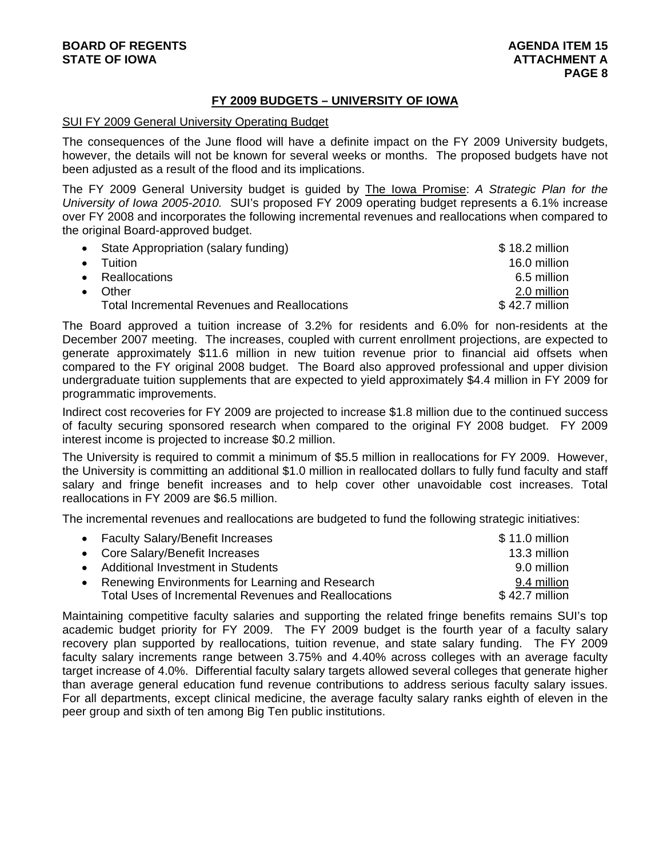## **FY 2009 BUDGETS – UNIVERSITY OF IOWA**

#### SUI FY 2009 General University Operating Budget

The consequences of the June flood will have a definite impact on the FY 2009 University budgets, however, the details will not be known for several weeks or months. The proposed budgets have not been adjusted as a result of the flood and its implications.

The FY 2009 General University budget is guided by The Iowa Promise: *A Strategic Plan for the University of Iowa 2005-2010.* SUI's proposed FY 2009 operating budget represents a 6.1% increase over FY 2008 and incorporates the following incremental revenues and reallocations when compared to the original Board-approved budget.

| • State Appropriation (salary funding)              | $$18.2$ million |
|-----------------------------------------------------|-----------------|
| $\bullet$ Tuition                                   | 16.0 million    |
| • Reallocations                                     | 6.5 million     |
| Other                                               | 2.0 million     |
| <b>Total Incremental Revenues and Reallocations</b> | $$42.7$ million |

The Board approved a tuition increase of 3.2% for residents and 6.0% for non-residents at the December 2007 meeting. The increases, coupled with current enrollment projections, are expected to generate approximately \$11.6 million in new tuition revenue prior to financial aid offsets when compared to the FY original 2008 budget. The Board also approved professional and upper division undergraduate tuition supplements that are expected to yield approximately \$4.4 million in FY 2009 for programmatic improvements.

Indirect cost recoveries for FY 2009 are projected to increase \$1.8 million due to the continued success of faculty securing sponsored research when compared to the original FY 2008 budget. FY 2009 interest income is projected to increase \$0.2 million.

The University is required to commit a minimum of \$5.5 million in reallocations for FY 2009. However, the University is committing an additional \$1.0 million in reallocated dollars to fully fund faculty and staff salary and fringe benefit increases and to help cover other unavoidable cost increases. Total reallocations in FY 2009 are \$6.5 million.

The incremental revenues and reallocations are budgeted to fund the following strategic initiatives:

| • Faculty Salary/Benefit Increases                   | $$11.0$ million |
|------------------------------------------------------|-----------------|
| • Core Salary/Benefit Increases                      | 13.3 million    |
| • Additional Investment in Students                  | 9.0 million     |
| • Renewing Environments for Learning and Research    | 9.4 million     |
| Total Uses of Incremental Revenues and Reallocations | $$42.7$ million |

Maintaining competitive faculty salaries and supporting the related fringe benefits remains SUI's top academic budget priority for FY 2009. The FY 2009 budget is the fourth year of a faculty salary recovery plan supported by reallocations, tuition revenue, and state salary funding. The FY 2009 faculty salary increments range between 3.75% and 4.40% across colleges with an average faculty target increase of 4.0%. Differential faculty salary targets allowed several colleges that generate higher than average general education fund revenue contributions to address serious faculty salary issues. For all departments, except clinical medicine, the average faculty salary ranks eighth of eleven in the peer group and sixth of ten among Big Ten public institutions.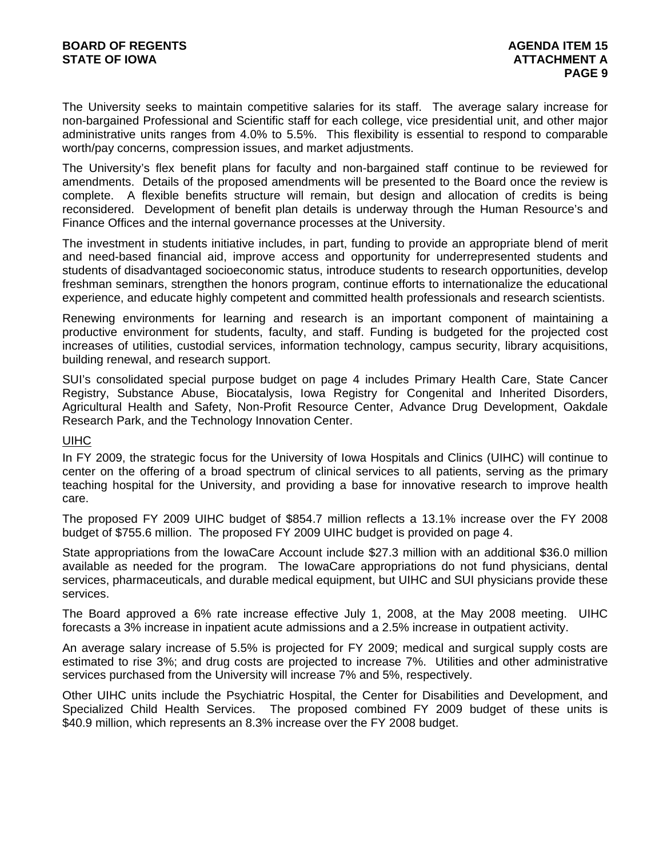The University seeks to maintain competitive salaries for its staff. The average salary increase for non-bargained Professional and Scientific staff for each college, vice presidential unit, and other major administrative units ranges from 4.0% to 5.5%. This flexibility is essential to respond to comparable worth/pay concerns, compression issues, and market adjustments.

The University's flex benefit plans for faculty and non-bargained staff continue to be reviewed for amendments. Details of the proposed amendments will be presented to the Board once the review is complete. A flexible benefits structure will remain, but design and allocation of credits is being reconsidered. Development of benefit plan details is underway through the Human Resource's and Finance Offices and the internal governance processes at the University.

The investment in students initiative includes, in part, funding to provide an appropriate blend of merit and need-based financial aid, improve access and opportunity for underrepresented students and students of disadvantaged socioeconomic status, introduce students to research opportunities, develop freshman seminars, strengthen the honors program, continue efforts to internationalize the educational experience, and educate highly competent and committed health professionals and research scientists.

Renewing environments for learning and research is an important component of maintaining a productive environment for students, faculty, and staff. Funding is budgeted for the projected cost increases of utilities, custodial services, information technology, campus security, library acquisitions, building renewal, and research support.

SUI's consolidated special purpose budget on page 4 includes Primary Health Care, State Cancer Registry, Substance Abuse, Biocatalysis, Iowa Registry for Congenital and Inherited Disorders, Agricultural Health and Safety, Non-Profit Resource Center, Advance Drug Development, Oakdale Research Park, and the Technology Innovation Center.

#### **UIHC**

In FY 2009, the strategic focus for the University of Iowa Hospitals and Clinics (UIHC) will continue to center on the offering of a broad spectrum of clinical services to all patients, serving as the primary teaching hospital for the University, and providing a base for innovative research to improve health care.

The proposed FY 2009 UIHC budget of \$854.7 million reflects a 13.1% increase over the FY 2008 budget of \$755.6 million. The proposed FY 2009 UIHC budget is provided on page 4.

State appropriations from the IowaCare Account include \$27.3 million with an additional \$36.0 million available as needed for the program. The IowaCare appropriations do not fund physicians, dental services, pharmaceuticals, and durable medical equipment, but UIHC and SUI physicians provide these services.

The Board approved a 6% rate increase effective July 1, 2008, at the May 2008 meeting. UIHC forecasts a 3% increase in inpatient acute admissions and a 2.5% increase in outpatient activity.

An average salary increase of 5.5% is projected for FY 2009; medical and surgical supply costs are estimated to rise 3%; and drug costs are projected to increase 7%. Utilities and other administrative services purchased from the University will increase 7% and 5%, respectively.

Other UIHC units include the Psychiatric Hospital, the Center for Disabilities and Development, and Specialized Child Health Services. The proposed combined FY 2009 budget of these units is \$40.9 million, which represents an 8.3% increase over the FY 2008 budget.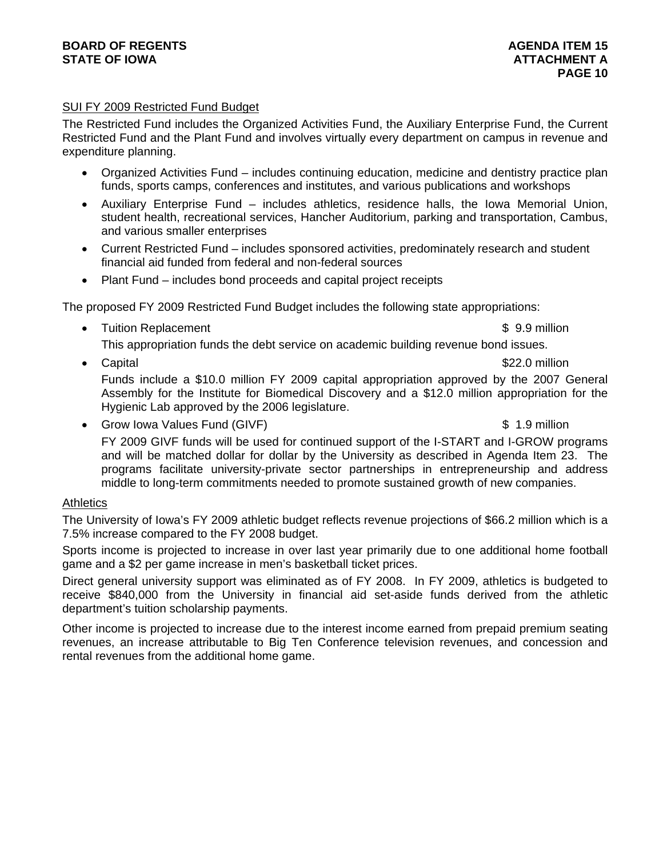#### **BOARD OF REGENTS** AGENUS AGENDA ITEM 15 **STATE OF IOWA AND RESERVE A LOCAL CONSUMING A LOCAL CONSUMING A LOCAL CONSUMING A LOCAL CONSUMING A LOCAL CONSUMING A LOCAL CONSUMING A LOCAL CONSUMING A LOCAL CONSUMING A LOCAL CONSUMING A LOCAL CONSUMING A LOCAL CONSUMI**

### SUI FY 2009 Restricted Fund Budget

The Restricted Fund includes the Organized Activities Fund, the Auxiliary Enterprise Fund, the Current Restricted Fund and the Plant Fund and involves virtually every department on campus in revenue and expenditure planning.

- Organized Activities Fund includes continuing education, medicine and dentistry practice plan funds, sports camps, conferences and institutes, and various publications and workshops
- Auxiliary Enterprise Fund includes athletics, residence halls, the Iowa Memorial Union, student health, recreational services, Hancher Auditorium, parking and transportation, Cambus, and various smaller enterprises
- Current Restricted Fund includes sponsored activities, predominately research and student financial aid funded from federal and non-federal sources
- Plant Fund includes bond proceeds and capital project receipts

The proposed FY 2009 Restricted Fund Budget includes the following state appropriations:

• Tuition Replacement **\$ 9.9 million** 

This appropriation funds the debt service on academic building revenue bond issues.

• Capital **\*** Capital **\*** Capital **\*** Capital **\*** Capital **\*** Capital **\*** Capital **\*** Capital **\*** Capital **\*** Capital **\*** Capital **\*** Capital **\*** Capital **\*** Capital **\*** Capital **\*** Capital **\*** Capital **\*** Capital **\*** Capi

Funds include a \$10.0 million FY 2009 capital appropriation approved by the 2007 General Assembly for the Institute for Biomedical Discovery and a \$12.0 million appropriation for the Hygienic Lab approved by the 2006 legislature.

• Grow Iowa Values Fund (GIVF) **\$** 1.9 million

FY 2009 GIVF funds will be used for continued support of the I-START and I-GROW programs and will be matched dollar for dollar by the University as described in Agenda Item 23. The programs facilitate university-private sector partnerships in entrepreneurship and address middle to long-term commitments needed to promote sustained growth of new companies.

#### **Athletics**

The University of Iowa's FY 2009 athletic budget reflects revenue projections of \$66.2 million which is a 7.5% increase compared to the FY 2008 budget.

Sports income is projected to increase in over last year primarily due to one additional home football game and a \$2 per game increase in men's basketball ticket prices.

Direct general university support was eliminated as of FY 2008. In FY 2009, athletics is budgeted to receive \$840,000 from the University in financial aid set-aside funds derived from the athletic department's tuition scholarship payments.

Other income is projected to increase due to the interest income earned from prepaid premium seating revenues, an increase attributable to Big Ten Conference television revenues, and concession and rental revenues from the additional home game.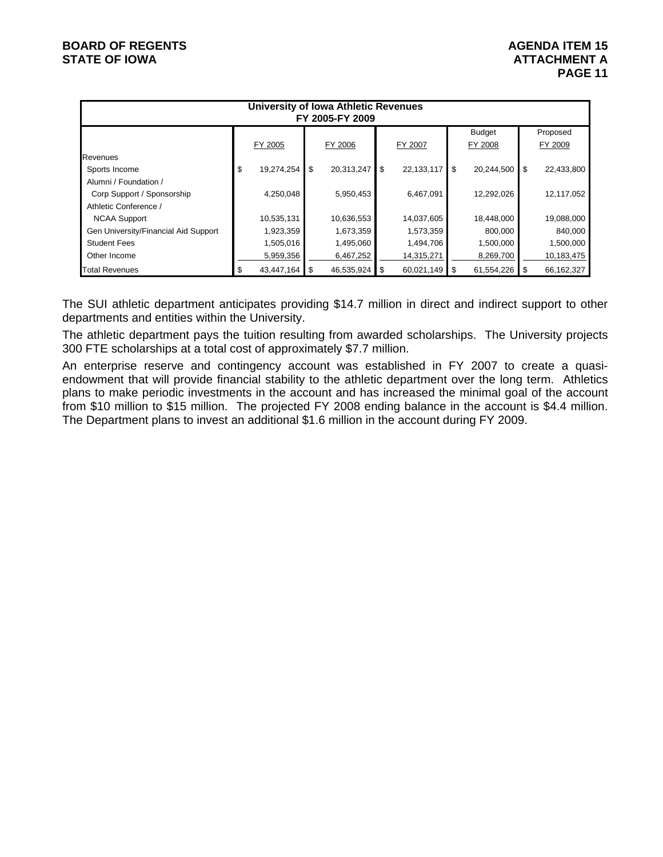|                                      |                  |    | University of Iowa Athletic Revenues<br>FY 2005-FY 2009 |                  |      |               |    |            |
|--------------------------------------|------------------|----|---------------------------------------------------------|------------------|------|---------------|----|------------|
|                                      |                  |    |                                                         |                  |      | <b>Budget</b> |    | Proposed   |
|                                      | FY 2005          |    | FY 2006                                                 | FY 2007          |      | FY 2008       |    | FY 2009    |
| Revenues                             |                  |    |                                                         |                  |      |               |    |            |
| Sports Income                        | \$<br>19,274,254 | \$ | 20,313,247                                              | \$<br>22,133,117 | \$   | 20,244,500    | \$ | 22,433,800 |
| Alumni / Foundation /                |                  |    |                                                         |                  |      |               |    |            |
| Corp Support / Sponsorship           | 4,250,048        |    | 5,950,453                                               | 6,467,091        |      | 12,292,026    |    | 12,117,052 |
| Athletic Conference /                |                  |    |                                                         |                  |      |               |    |            |
| <b>NCAA Support</b>                  | 10,535,131       |    | 10,636,553                                              | 14,037,605       |      | 18,448,000    |    | 19,088,000 |
| Gen University/Financial Aid Support | 1,923,359        |    | 1,673,359                                               | 1,573,359        |      | 800,000       |    | 840,000    |
| <b>Student Fees</b>                  | 1,505,016        |    | 1,495,060                                               | 1,494,706        |      | 1,500,000     |    | 1,500,000  |
| Other Income                         | 5,959,356        |    | 6,467,252                                               | 14,315,271       |      | 8,269,700     |    | 10,183,475 |
| <b>Total Revenues</b>                | 43,447,164       | S. | 46,535,924                                              | \$<br>60,021,149 | - \$ | 61,554,226    | S  | 66,162,327 |

The SUI athletic department anticipates providing \$14.7 million in direct and indirect support to other departments and entities within the University.

The athletic department pays the tuition resulting from awarded scholarships. The University projects 300 FTE scholarships at a total cost of approximately \$7.7 million.

An enterprise reserve and contingency account was established in FY 2007 to create a quasiendowment that will provide financial stability to the athletic department over the long term. Athletics plans to make periodic investments in the account and has increased the minimal goal of the account from \$10 million to \$15 million. The projected FY 2008 ending balance in the account is \$4.4 million. The Department plans to invest an additional \$1.6 million in the account during FY 2009.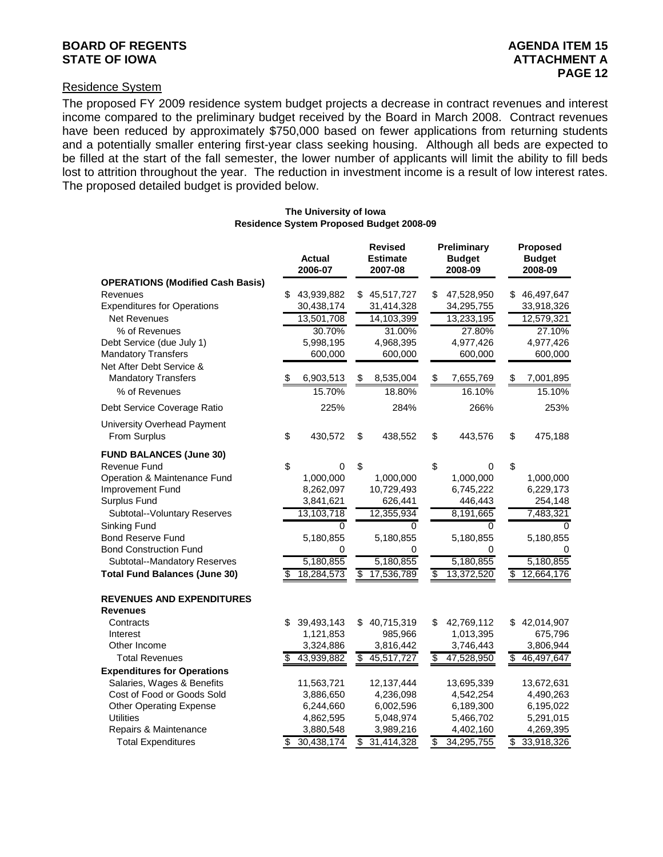#### **BOARD OF REGENTS** AGENUS AGENDA ITEM 15 **STATE OF IOWA AND RESERVE A LOCAL CONSUMING A LOCAL CONSUMING A LOCAL CONSUMING A LOCAL CONSUMING A LOCAL CONSUMING A LOCAL CONSUMING A LOCAL CONSUMING A LOCAL CONSUMING A LOCAL CONSUMING A LOCAL CONSUMING A LOCAL CONSUMI**

#### Residence System

The proposed FY 2009 residence system budget projects a decrease in contract revenues and interest income compared to the preliminary budget received by the Board in March 2008. Contract revenues have been reduced by approximately \$750,000 based on fewer applications from returning students and a potentially smaller entering first-year class seeking housing. Although all beds are expected to be filled at the start of the fall semester, the lower number of applicants will limit the ability to fill beds lost to attrition throughout the year. The reduction in investment income is a result of low interest rates. The proposed detailed budget is provided below.

#### **The University of Iowa Residence System Proposed Budget 2008-09**

|                                                        |    | Actual<br>2006-07 |                          | <b>Revised</b><br><b>Estimate</b><br>2007-08 | Preliminary<br><b>Budget</b><br>2008-09 |    | Proposed<br><b>Budget</b><br>2008-09 |
|--------------------------------------------------------|----|-------------------|--------------------------|----------------------------------------------|-----------------------------------------|----|--------------------------------------|
| <b>OPERATIONS (Modified Cash Basis)</b>                |    |                   |                          |                                              |                                         |    |                                      |
| Revenues                                               | \$ | 43,939,882        | S                        | 45,517,727                                   | \$<br>47,528,950                        | S  | 46,497,647                           |
| <b>Expenditures for Operations</b>                     |    | 30,438,174        |                          | 31,414,328                                   | 34,295,755                              |    | 33,918,326                           |
| <b>Net Revenues</b>                                    |    | 13,501,708        |                          | 14,103,399                                   | 13,233,195                              |    | 12,579,321                           |
| % of Revenues                                          |    | 30.70%            |                          | 31.00%                                       | 27.80%                                  |    | 27.10%                               |
| Debt Service (due July 1)                              |    | 5,998,195         |                          | 4,968,395                                    | 4,977,426                               |    | 4,977,426                            |
| <b>Mandatory Transfers</b>                             |    | 600,000           |                          | 600,000                                      | 600,000                                 |    | 600,000                              |
| Net After Debt Service &<br><b>Mandatory Transfers</b> | £. | 6,903,513         | \$                       | 8,535,004                                    | \$<br>7,655,769                         | \$ | 7,001,895                            |
| % of Revenues                                          |    | 15.70%            |                          | 18.80%                                       | 16.10%                                  |    | 15.10%                               |
|                                                        |    |                   |                          |                                              |                                         |    |                                      |
| Debt Service Coverage Ratio                            |    | 225%              |                          | 284%                                         | 266%                                    |    | 253%                                 |
| University Overhead Payment                            |    |                   |                          |                                              |                                         |    |                                      |
| From Surplus                                           | \$ | 430,572           | \$                       | 438,552                                      | \$<br>443,576                           | \$ | 475,188                              |
| <b>FUND BALANCES (June 30)</b>                         |    |                   |                          |                                              |                                         |    |                                      |
| Revenue Fund                                           | \$ | 0                 | \$                       |                                              | \$<br>0                                 | \$ |                                      |
| Operation & Maintenance Fund                           |    | 1,000,000         |                          | 1,000,000                                    | 1,000,000                               |    | 1,000,000                            |
| Improvement Fund                                       |    | 8,262,097         |                          | 10,729,493                                   | 6,745,222                               |    | 6,229,173                            |
| Surplus Fund                                           |    | 3,841,621         |                          | 626,441                                      | 446,443                                 |    | 254,148                              |
| Subtotal--Voluntary Reserves                           |    | 13,103,718        |                          | 12,355,934                                   | 8,191,665                               |    | 7,483,321                            |
| Sinking Fund                                           |    | 0                 |                          | 0                                            | 0                                       |    | 0                                    |
| <b>Bond Reserve Fund</b>                               |    | 5,180,855         |                          | 5,180,855                                    | 5,180,855                               |    | 5,180,855                            |
| <b>Bond Construction Fund</b>                          |    | 0                 |                          | 0                                            | 0                                       |    | 0                                    |
| Subtotal--Mandatory Reserves                           |    | 5,180,855         |                          | 5,180,855                                    | 5,180,855                               |    | 5,180,855                            |
| <b>Total Fund Balances (June 30)</b>                   | \$ | 18,284,573        | $\overline{\mathcal{S}}$ | 17,536,789                                   | \$<br>13,372,520                        | \$ | 12,664,176                           |
| <b>REVENUES AND EXPENDITURES</b><br><b>Revenues</b>    |    |                   |                          |                                              |                                         |    |                                      |
| Contracts                                              | \$ | 39,493,143        | \$                       | 40,715,319                                   | \$<br>42,769,112                        | \$ | 42,014,907                           |
| Interest                                               |    | 1,121,853         |                          | 985,966                                      | 1,013,395                               |    | 675,796                              |
| Other Income                                           |    | 3,324,886         |                          | 3,816,442                                    | 3,746,443                               |    | 3,806,944                            |
| <b>Total Revenues</b>                                  |    | 43,939,882        | \$                       | 45,517,727                                   | \$<br>47,528,950                        | S  | 46,497,647                           |
| <b>Expenditures for Operations</b>                     |    |                   |                          |                                              |                                         |    |                                      |
| Salaries, Wages & Benefits                             |    | 11,563,721        |                          | 12,137,444                                   | 13,695,339                              |    | 13,672,631                           |
| Cost of Food or Goods Sold                             |    | 3,886,650         |                          | 4,236,098                                    | 4,542,254                               |    | 4,490,263                            |
| <b>Other Operating Expense</b>                         |    | 6,244,660         |                          | 6,002,596                                    | 6,189,300                               |    | 6,195,022                            |
| <b>Utilities</b>                                       |    | 4,862,595         |                          | 5,048,974                                    | 5,466,702                               |    | 5,291,015                            |
| Repairs & Maintenance                                  |    | 3,880,548         |                          | 3,989,216                                    | 4,402,160                               |    | 4,269,395                            |
| <b>Total Expenditures</b>                              | \$ | 30,438,174        | \$                       | 31,414,328                                   | \$<br>34,295,755                        | \$ | 33,918,326                           |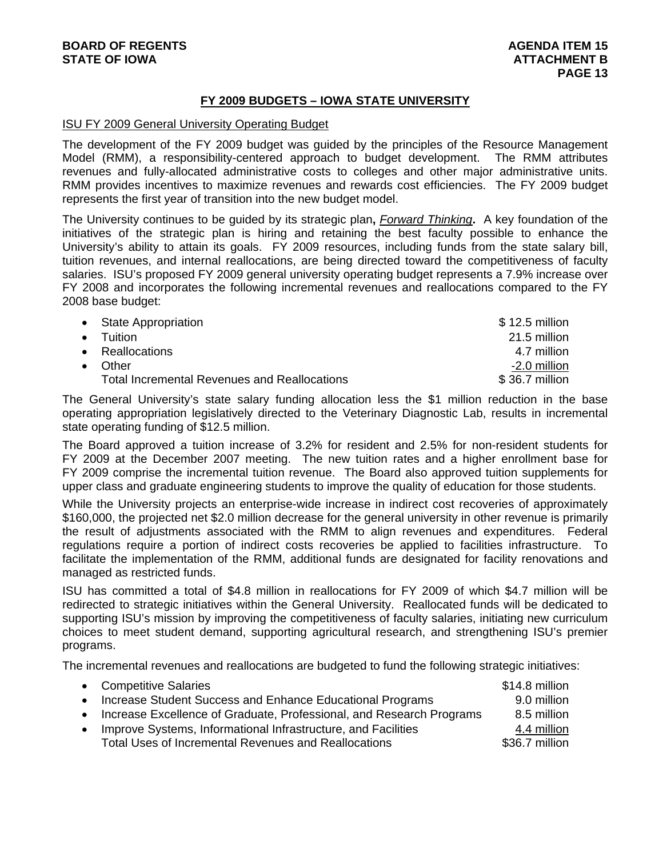#### **FY 2009 BUDGETS – IOWA STATE UNIVERSITY**

#### ISU FY 2009 General University Operating Budget

The development of the FY 2009 budget was guided by the principles of the Resource Management Model (RMM), a responsibility-centered approach to budget development. The RMM attributes revenues and fully-allocated administrative costs to colleges and other major administrative units. RMM provides incentives to maximize revenues and rewards cost efficiencies. The FY 2009 budget represents the first year of transition into the new budget model.

The University continues to be guided by its strategic plan**,** *Forward Thinking***.** A key foundation of the initiatives of the strategic plan is hiring and retaining the best faculty possible to enhance the University's ability to attain its goals. FY 2009 resources, including funds from the state salary bill, tuition revenues, and internal reallocations, are being directed toward the competitiveness of faculty salaries. ISU's proposed FY 2009 general university operating budget represents a 7.9% increase over FY 2008 and incorporates the following incremental revenues and reallocations compared to the FY 2008 base budget:

| • State Appropriation                               | $$12.5$ million |
|-----------------------------------------------------|-----------------|
| $\bullet$ Tuition                                   | 21.5 million    |
| • Reallocations                                     | 4.7 million     |
| $\bullet$ Other                                     | -2.0 million    |
| <b>Total Incremental Revenues and Reallocations</b> | \$36.7 million  |

The General University's state salary funding allocation less the \$1 million reduction in the base operating appropriation legislatively directed to the Veterinary Diagnostic Lab, results in incremental state operating funding of \$12.5 million.

The Board approved a tuition increase of 3.2% for resident and 2.5% for non-resident students for FY 2009 at the December 2007 meeting. The new tuition rates and a higher enrollment base for FY 2009 comprise the incremental tuition revenue. The Board also approved tuition supplements for upper class and graduate engineering students to improve the quality of education for those students.

While the University projects an enterprise-wide increase in indirect cost recoveries of approximately \$160,000, the projected net \$2.0 million decrease for the general university in other revenue is primarily the result of adjustments associated with the RMM to align revenues and expenditures. Federal regulations require a portion of indirect costs recoveries be applied to facilities infrastructure. To facilitate the implementation of the RMM, additional funds are designated for facility renovations and managed as restricted funds.

ISU has committed a total of \$4.8 million in reallocations for FY 2009 of which \$4.7 million will be redirected to strategic initiatives within the General University. Reallocated funds will be dedicated to supporting ISU's mission by improving the competitiveness of faculty salaries, initiating new curriculum choices to meet student demand, supporting agricultural research, and strengthening ISU's premier programs.

The incremental revenues and reallocations are budgeted to fund the following strategic initiatives:

|           | • Competitive Salaries                                                 | \$14.8 million |
|-----------|------------------------------------------------------------------------|----------------|
|           | • Increase Student Success and Enhance Educational Programs            | 9.0 million    |
|           | • Increase Excellence of Graduate, Professional, and Research Programs | 8.5 million    |
| $\bullet$ | Improve Systems, Informational Infrastructure, and Facilities          | 4.4 million    |
|           | Total Uses of Incremental Revenues and Reallocations                   | \$36.7 million |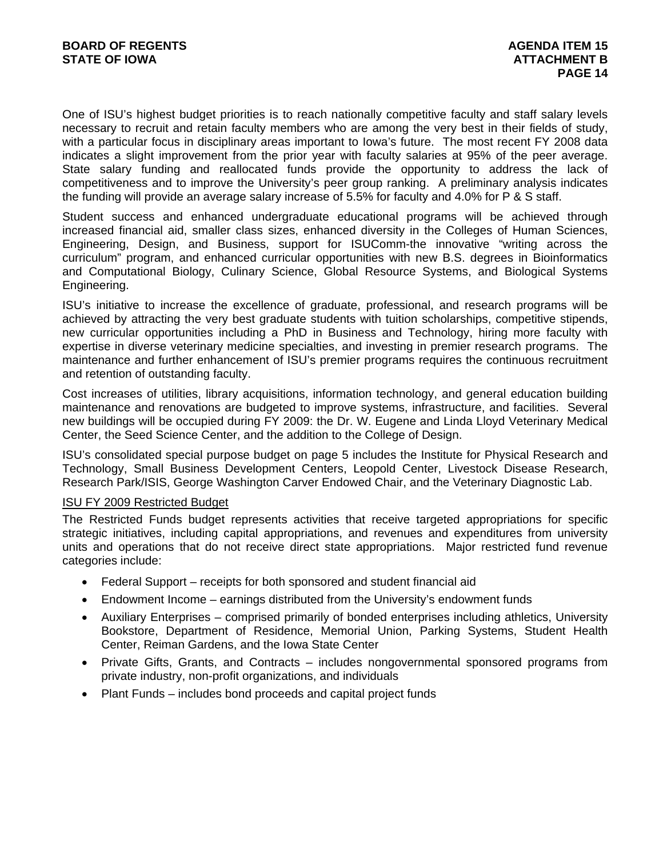One of ISU's highest budget priorities is to reach nationally competitive faculty and staff salary levels necessary to recruit and retain faculty members who are among the very best in their fields of study, with a particular focus in disciplinary areas important to Iowa's future. The most recent FY 2008 data indicates a slight improvement from the prior year with faculty salaries at 95% of the peer average. State salary funding and reallocated funds provide the opportunity to address the lack of competitiveness and to improve the University's peer group ranking. A preliminary analysis indicates the funding will provide an average salary increase of 5.5% for faculty and 4.0% for P & S staff.

Student success and enhanced undergraduate educational programs will be achieved through increased financial aid, smaller class sizes, enhanced diversity in the Colleges of Human Sciences, Engineering, Design, and Business, support for ISUComm-the innovative "writing across the curriculum" program, and enhanced curricular opportunities with new B.S. degrees in Bioinformatics and Computational Biology, Culinary Science, Global Resource Systems, and Biological Systems Engineering.

ISU's initiative to increase the excellence of graduate, professional, and research programs will be achieved by attracting the very best graduate students with tuition scholarships, competitive stipends, new curricular opportunities including a PhD in Business and Technology, hiring more faculty with expertise in diverse veterinary medicine specialties, and investing in premier research programs. The maintenance and further enhancement of ISU's premier programs requires the continuous recruitment and retention of outstanding faculty.

Cost increases of utilities, library acquisitions, information technology, and general education building maintenance and renovations are budgeted to improve systems, infrastructure, and facilities. Several new buildings will be occupied during FY 2009: the Dr. W. Eugene and Linda Lloyd Veterinary Medical Center, the Seed Science Center, and the addition to the College of Design.

ISU's consolidated special purpose budget on page 5 includes the Institute for Physical Research and Technology, Small Business Development Centers, Leopold Center, Livestock Disease Research, Research Park/ISIS, George Washington Carver Endowed Chair, and the Veterinary Diagnostic Lab.

#### ISU FY 2009 Restricted Budget

The Restricted Funds budget represents activities that receive targeted appropriations for specific strategic initiatives, including capital appropriations, and revenues and expenditures from university units and operations that do not receive direct state appropriations. Major restricted fund revenue categories include:

- Federal Support receipts for both sponsored and student financial aid
- Endowment Income earnings distributed from the University's endowment funds
- Auxiliary Enterprises comprised primarily of bonded enterprises including athletics, University Bookstore, Department of Residence, Memorial Union, Parking Systems, Student Health Center, Reiman Gardens, and the Iowa State Center
- Private Gifts, Grants, and Contracts includes nongovernmental sponsored programs from private industry, non-profit organizations, and individuals
- Plant Funds includes bond proceeds and capital project funds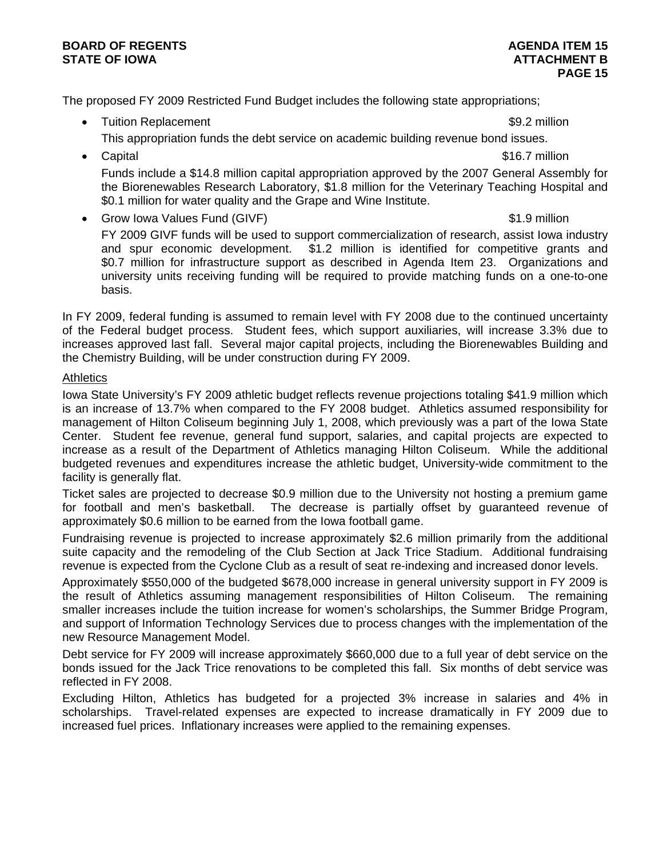#### **BOARD OF REGENTS AGENUS AGENDA ITEM 15 STATE OF IOWA** AND **BUCK ATTACHMENT B**

The proposed FY 2009 Restricted Fund Budget includes the following state appropriations;

• Tuition Replacement **\$9.2 million \$9.2 million** 

- This appropriation funds the debt service on academic building revenue bond issues.
- Capital \$16.7 million Funds include a \$14.8 million capital appropriation approved by the 2007 General Assembly for the Biorenewables Research Laboratory, \$1.8 million for the Veterinary Teaching Hospital and \$0.1 million for water quality and the Grape and Wine Institute.
- Grow Iowa Values Fund (GIVF)  $\sim$  81.9 million FY 2009 GIVF funds will be used to support commercialization of research, assist Iowa industry and spur economic development. \$1.2 million is identified for competitive grants and \$0.7 million for infrastructure support as described in Agenda Item 23. Organizations and university units receiving funding will be required to provide matching funds on a one-to-one basis.

In FY 2009, federal funding is assumed to remain level with FY 2008 due to the continued uncertainty of the Federal budget process. Student fees, which support auxiliaries, will increase 3.3% due to increases approved last fall. Several major capital projects, including the Biorenewables Building and the Chemistry Building, will be under construction during FY 2009.

### **Athletics**

Iowa State University's FY 2009 athletic budget reflects revenue projections totaling \$41.9 million which is an increase of 13.7% when compared to the FY 2008 budget. Athletics assumed responsibility for management of Hilton Coliseum beginning July 1, 2008, which previously was a part of the Iowa State Center. Student fee revenue, general fund support, salaries, and capital projects are expected to increase as a result of the Department of Athletics managing Hilton Coliseum. While the additional budgeted revenues and expenditures increase the athletic budget, University-wide commitment to the facility is generally flat.

Ticket sales are projected to decrease \$0.9 million due to the University not hosting a premium game for football and men's basketball. The decrease is partially offset by guaranteed revenue of approximately \$0.6 million to be earned from the Iowa football game.

Fundraising revenue is projected to increase approximately \$2.6 million primarily from the additional suite capacity and the remodeling of the Club Section at Jack Trice Stadium. Additional fundraising revenue is expected from the Cyclone Club as a result of seat re-indexing and increased donor levels.

Approximately \$550,000 of the budgeted \$678,000 increase in general university support in FY 2009 is the result of Athletics assuming management responsibilities of Hilton Coliseum. The remaining smaller increases include the tuition increase for women's scholarships, the Summer Bridge Program, and support of Information Technology Services due to process changes with the implementation of the new Resource Management Model.

Debt service for FY 2009 will increase approximately \$660,000 due to a full year of debt service on the bonds issued for the Jack Trice renovations to be completed this fall. Six months of debt service was reflected in FY 2008.

Excluding Hilton, Athletics has budgeted for a projected 3% increase in salaries and 4% in scholarships. Travel-related expenses are expected to increase dramatically in FY 2009 due to increased fuel prices. Inflationary increases were applied to the remaining expenses.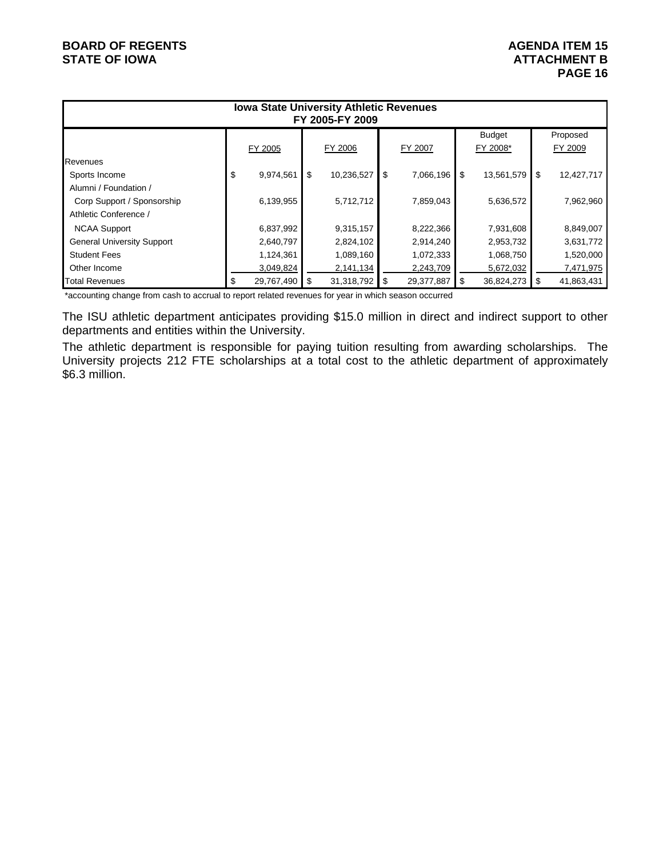# **BOARD OF REGENTS AGENDA ITEM 15**

# STATE OF IOWA **ATTACHMENT B**<br>PAGE 16 **PAGE 16**

| <b>Iowa State University Athletic Revenues</b><br>FY 2005-FY 2009 |    |            |    |            |         |            |          |            |         |            |
|-------------------------------------------------------------------|----|------------|----|------------|---------|------------|----------|------------|---------|------------|
| <b>Budget</b>                                                     |    |            |    |            |         |            |          |            |         | Proposed   |
|                                                                   |    | FY 2005    |    | FY 2006    | FY 2007 |            | FY 2008* |            | FY 2009 |            |
| Revenues                                                          |    |            |    |            |         |            |          |            |         |            |
| Sports Income                                                     | \$ | 9,974,561  | \$ | 10,236,527 | \$      | 7,066,196  | \$       | 13,561,579 | \$      | 12,427,717 |
| Alumni / Foundation /                                             |    |            |    |            |         |            |          |            |         |            |
| Corp Support / Sponsorship                                        |    | 6,139,955  |    | 5,712,712  |         | 7,859,043  |          | 5,636,572  |         | 7,962,960  |
| Athletic Conference /                                             |    |            |    |            |         |            |          |            |         |            |
| <b>NCAA Support</b>                                               |    | 6,837,992  |    | 9,315,157  |         | 8,222,366  |          | 7,931,608  |         | 8,849,007  |
| <b>General University Support</b>                                 |    | 2,640,797  |    | 2,824,102  |         | 2,914,240  |          | 2,953,732  |         | 3,631,772  |
| <b>Student Fees</b>                                               |    | 1,124,361  |    | 1,089,160  |         | 1,072,333  |          | 1,068,750  |         | 1,520,000  |
| Other Income                                                      |    | 3,049,824  |    | 2,141,134  |         | 2,243,709  |          | 5,672,032  |         | 7,471,975  |
| <b>Total Revenues</b>                                             | \$ | 29,767,490 | S  | 31,318,792 | \$      | 29,377,887 | S        | 36,824,273 | \$      | 41,863,431 |

\*accounting change from cash to accrual to report related revenues for year in which season occurred

The ISU athletic department anticipates providing \$15.0 million in direct and indirect support to other departments and entities within the University.

The athletic department is responsible for paying tuition resulting from awarding scholarships. The University projects 212 FTE scholarships at a total cost to the athletic department of approximately \$6.3 million.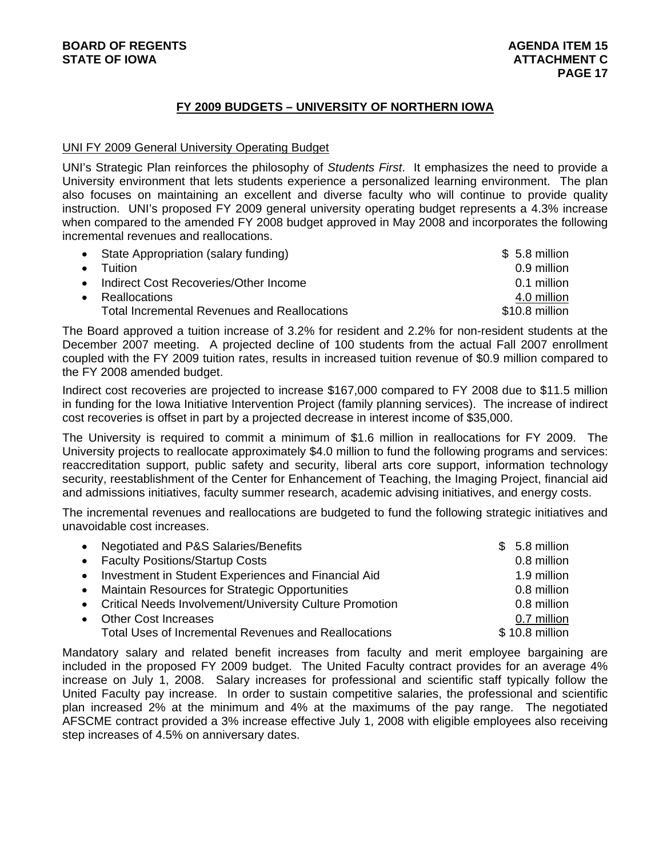## **FY 2009 BUDGETS – UNIVERSITY OF NORTHERN IOWA**

#### UNI FY 2009 General University Operating Budget

UNI's Strategic Plan reinforces the philosophy of *Students First*. It emphasizes the need to provide a University environment that lets students experience a personalized learning environment. The plan also focuses on maintaining an excellent and diverse faculty who will continue to provide quality instruction. UNI's proposed FY 2009 general university operating budget represents a 4.3% increase when compared to the amended FY 2008 budget approved in May 2008 and incorporates the following incremental revenues and reallocations.

|           | • State Appropriation (salary funding)       | $$5.8$ million |
|-----------|----------------------------------------------|----------------|
| $\bullet$ | <b>Tuition</b>                               | 0.9 million    |
| $\bullet$ | Indirect Cost Recoveries/Other Income        | 0.1 million    |
| $\bullet$ | Reallocations                                | 4.0 million    |
|           | Total Incremental Revenues and Reallocations | \$10.8 million |

The Board approved a tuition increase of 3.2% for resident and 2.2% for non-resident students at the December 2007 meeting. A projected decline of 100 students from the actual Fall 2007 enrollment coupled with the FY 2009 tuition rates, results in increased tuition revenue of \$0.9 million compared to the FY 2008 amended budget.

Indirect cost recoveries are projected to increase \$167,000 compared to FY 2008 due to \$11.5 million in funding for the Iowa Initiative Intervention Project (family planning services). The increase of indirect cost recoveries is offset in part by a projected decrease in interest income of \$35,000.

The University is required to commit a minimum of \$1.6 million in reallocations for FY 2009. The University projects to reallocate approximately \$4.0 million to fund the following programs and services: reaccreditation support, public safety and security, liberal arts core support, information technology security, reestablishment of the Center for Enhancement of Teaching, the Imaging Project, financial aid and admissions initiatives, faculty summer research, academic advising initiatives, and energy costs.

The incremental revenues and reallocations are budgeted to fund the following strategic initiatives and unavoidable cost increases.

| • Negotiated and P&S Salaries/Benefits                      | $$5.8$ million |
|-------------------------------------------------------------|----------------|
| • Faculty Positions/Startup Costs                           | 0.8 million    |
| • Investment in Student Experiences and Financial Aid       | 1.9 million    |
| • Maintain Resources for Strategic Opportunities            | 0.8 million    |
| • Critical Needs Involvement/University Culture Promotion   | 0.8 million    |
| • Other Cost Increases                                      | 0.7 million    |
| <b>Total Uses of Incremental Revenues and Reallocations</b> | \$10.8 million |

Mandatory salary and related benefit increases from faculty and merit employee bargaining are included in the proposed FY 2009 budget. The United Faculty contract provides for an average 4% increase on July 1, 2008. Salary increases for professional and scientific staff typically follow the United Faculty pay increase. In order to sustain competitive salaries, the professional and scientific plan increased 2% at the minimum and 4% at the maximums of the pay range. The negotiated AFSCME contract provided a 3% increase effective July 1, 2008 with eligible employees also receiving step increases of 4.5% on anniversary dates.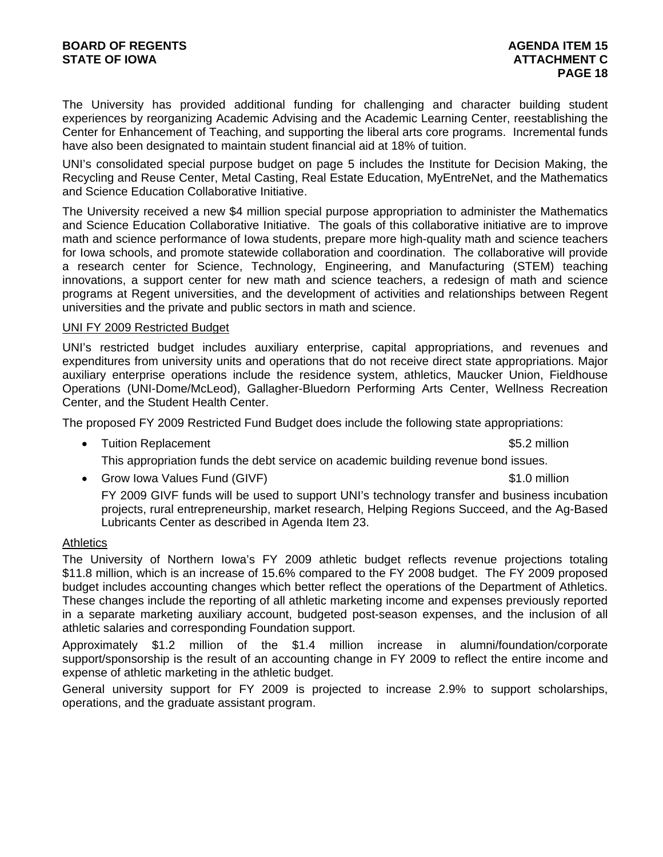The University has provided additional funding for challenging and character building student experiences by reorganizing Academic Advising and the Academic Learning Center, reestablishing the Center for Enhancement of Teaching, and supporting the liberal arts core programs. Incremental funds have also been designated to maintain student financial aid at 18% of tuition.

UNI's consolidated special purpose budget on page 5 includes the Institute for Decision Making, the Recycling and Reuse Center, Metal Casting, Real Estate Education, MyEntreNet, and the Mathematics and Science Education Collaborative Initiative.

The University received a new \$4 million special purpose appropriation to administer the Mathematics and Science Education Collaborative Initiative. The goals of this collaborative initiative are to improve math and science performance of Iowa students, prepare more high-quality math and science teachers for Iowa schools, and promote statewide collaboration and coordination. The collaborative will provide a research center for Science, Technology, Engineering, and Manufacturing (STEM) teaching innovations, a support center for new math and science teachers, a redesign of math and science programs at Regent universities, and the development of activities and relationships between Regent universities and the private and public sectors in math and science.

#### UNI FY 2009 Restricted Budget

UNI's restricted budget includes auxiliary enterprise, capital appropriations, and revenues and expenditures from university units and operations that do not receive direct state appropriations. Major auxiliary enterprise operations include the residence system, athletics, Maucker Union, Fieldhouse Operations (UNI-Dome/McLeod), Gallagher-Bluedorn Performing Arts Center, Wellness Recreation Center, and the Student Health Center.

The proposed FY 2009 Restricted Fund Budget does include the following state appropriations:

- Tuition Replacement **\$5.2 million** This appropriation funds the debt service on academic building revenue bond issues.
- Grow Iowa Values Fund (GIVF)  $\sim$  81.0 million FY 2009 GIVF funds will be used to support UNI's technology transfer and business incubation projects, rural entrepreneurship, market research, Helping Regions Succeed, and the Ag-Based Lubricants Center as described in Agenda Item 23.

#### **Athletics**

The University of Northern Iowa's FY 2009 athletic budget reflects revenue projections totaling \$11.8 million, which is an increase of 15.6% compared to the FY 2008 budget. The FY 2009 proposed budget includes accounting changes which better reflect the operations of the Department of Athletics. These changes include the reporting of all athletic marketing income and expenses previously reported in a separate marketing auxiliary account, budgeted post-season expenses, and the inclusion of all athletic salaries and corresponding Foundation support.

Approximately \$1.2 million of the \$1.4 million increase in alumni/foundation/corporate support/sponsorship is the result of an accounting change in FY 2009 to reflect the entire income and expense of athletic marketing in the athletic budget.

General university support for FY 2009 is projected to increase 2.9% to support scholarships, operations, and the graduate assistant program.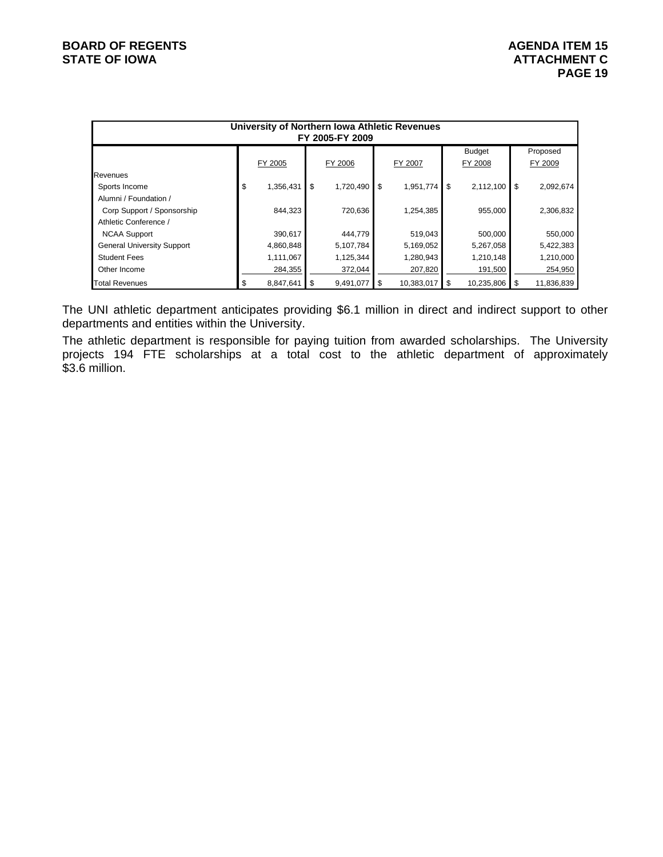| University of Northern Iowa Athletic Revenues<br>FY 2005-FY 2009 |    |           |    |           |    |            |    |                          |    |                     |
|------------------------------------------------------------------|----|-----------|----|-----------|----|------------|----|--------------------------|----|---------------------|
|                                                                  |    | FY 2005   |    | FY 2006   |    | FY 2007    |    | <b>Budget</b><br>FY 2008 |    | Proposed<br>FY 2009 |
| Revenues                                                         |    |           |    |           |    |            |    |                          |    |                     |
| Sports Income                                                    | \$ | 1,356,431 | \$ | 1,720,490 | \$ | 1,951,774  | \$ | 2,112,100                | \$ | 2,092,674           |
| Alumni / Foundation /                                            |    |           |    |           |    |            |    |                          |    |                     |
| Corp Support / Sponsorship                                       |    | 844.323   |    | 720,636   |    | 1,254,385  |    | 955,000                  |    | 2,306,832           |
| Athletic Conference /                                            |    |           |    |           |    |            |    |                          |    |                     |
| <b>NCAA Support</b>                                              |    | 390,617   |    | 444,779   |    | 519,043    |    | 500,000                  |    | 550,000             |
| <b>General University Support</b>                                |    | 4,860,848 |    | 5,107,784 |    | 5,169,052  |    | 5,267,058                |    | 5,422,383           |
| <b>Student Fees</b>                                              |    | 1,111,067 |    | 1,125,344 |    | 1,280,943  |    | 1,210,148                |    | 1,210,000           |
| Other Income                                                     |    | 284,355   |    | 372,044   |    | 207,820    |    | 191,500                  |    | 254,950             |
| <b>Total Revenues</b>                                            |    | 8,847,641 | \$ | 9,491,077 | \$ | 10,383,017 | S  | 10,235,806               | S  | 11,836,839          |

The UNI athletic department anticipates providing \$6.1 million in direct and indirect support to other departments and entities within the University.

The athletic department is responsible for paying tuition from awarded scholarships. The University projects 194 FTE scholarships at a total cost to the athletic department of approximately \$3.6 million.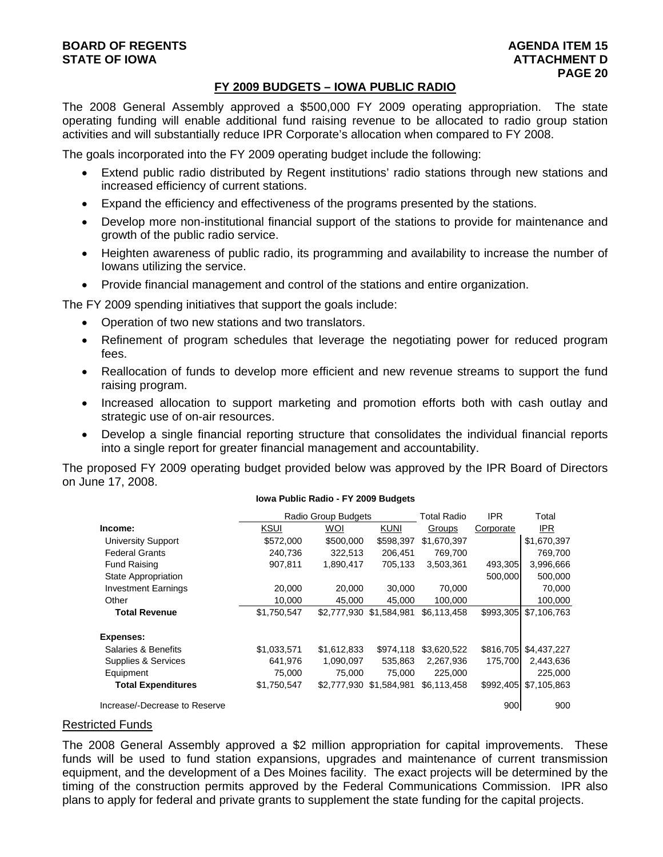#### **FY 2009 BUDGETS – IOWA PUBLIC RADIO**

The 2008 General Assembly approved a \$500,000 FY 2009 operating appropriation. The state operating funding will enable additional fund raising revenue to be allocated to radio group station activities and will substantially reduce IPR Corporate's allocation when compared to FY 2008.

The goals incorporated into the FY 2009 operating budget include the following:

- Extend public radio distributed by Regent institutions' radio stations through new stations and increased efficiency of current stations.
- Expand the efficiency and effectiveness of the programs presented by the stations.
- Develop more non-institutional financial support of the stations to provide for maintenance and growth of the public radio service.
- Heighten awareness of public radio, its programming and availability to increase the number of Iowans utilizing the service.
- Provide financial management and control of the stations and entire organization.

The FY 2009 spending initiatives that support the goals include:

- Operation of two new stations and two translators.
- Refinement of program schedules that leverage the negotiating power for reduced program fees.
- Reallocation of funds to develop more efficient and new revenue streams to support the fund raising program.
- Increased allocation to support marketing and promotion efforts both with cash outlay and strategic use of on-air resources.
- Develop a single financial reporting structure that consolidates the individual financial reports into a single report for greater financial management and accountability.

The proposed FY 2009 operating budget provided below was approved by the IPR Board of Directors on June 17, 2008.

**Iowa Public Radio - FY 2009 Budgets**

|                               |             | Radio Group Budgets     |             | <b>Total Radio</b> | <b>IPR</b> | Total       |
|-------------------------------|-------------|-------------------------|-------------|--------------------|------------|-------------|
| Income:                       | <b>KSUI</b> | <b>WOI</b>              | <b>KUNI</b> | Groups             | Corporate  | IPR.        |
| <b>University Support</b>     | \$572,000   | \$500,000               | \$598,397   | \$1,670,397        |            | \$1,670,397 |
| <b>Federal Grants</b>         | 240,736     | 322,513                 | 206,451     | 769,700            |            | 769,700     |
| <b>Fund Raising</b>           | 907.811     | 1.890.417               | 705,133     | 3.503.361          | 493,305    | 3,996,666   |
| State Appropriation           |             |                         |             |                    | 500,000    | 500,000     |
| <b>Investment Earnings</b>    | 20,000      | 20,000                  | 30,000      | 70,000             |            | 70,000      |
| Other                         | 10,000      | 45.000                  | 45.000      | 100,000            |            | 100,000     |
| <b>Total Revenue</b>          | \$1,750,547 | \$2,777,930 \$1,584,981 |             | \$6,113,458        | \$993,305  | \$7,106,763 |
| <b>Expenses:</b>              |             |                         |             |                    |            |             |
| Salaries & Benefits           | \$1,033,571 | \$1,612,833             | \$974,118   | \$3.620.522        | \$816,705  | \$4,437,227 |
| Supplies & Services           | 641,976     | 1,090,097               | 535,863     | 2,267,936          | 175.700    | 2,443,636   |
| Equipment                     | 75,000      | 75,000                  | 75,000      | 225,000            |            | 225,000     |
| <b>Total Expenditures</b>     | \$1,750,547 | \$2,777,930             | \$1.584.981 | \$6,113,458        | \$992,405  | \$7,105,863 |
| Increase/-Decrease to Reserve |             |                         |             |                    | 900        | 900         |

#### Restricted Funds

The 2008 General Assembly approved a \$2 million appropriation for capital improvements. These funds will be used to fund station expansions, upgrades and maintenance of current transmission equipment, and the development of a Des Moines facility. The exact projects will be determined by the timing of the construction permits approved by the Federal Communications Commission. IPR also plans to apply for federal and private grants to supplement the state funding for the capital projects.